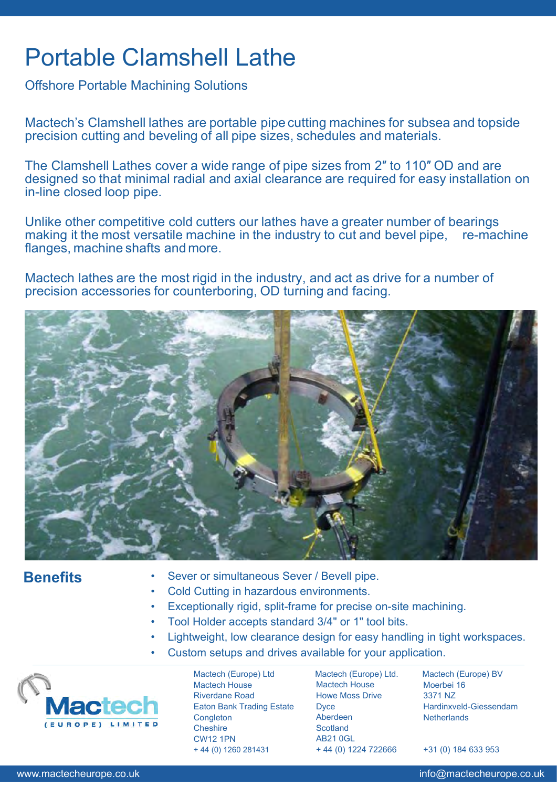# Portable Clamshell Lathe

Offshore Portable Machining Solutions

Mactech's Clamshell lathes are portable pipe cutting machines for subsea and topside precision cutting and beveling of all pipe sizes, schedules and materials.

The Clamshell Lathes cover a wide range of pipe sizes from 2″ to 110″ OD and are designed so that minimal radial and axial clearance are required for easy installation on in-line closed loop pipe.

Unlike other competitive cold cutters our lathes have a greater number of bearings making it the most versatile machine in the industry to cut and bevel pipe, re-machine flanges, machine shafts and more.

Mactech lathes are the most rigid in the industry, and act as drive for a number of precision accessories for counterboring, OD turning and facing.



## **Benefits**

- Sever or simultaneous Sever / Bevell pipe.
- Cold Cutting in hazardous environments.
- Exceptionally rigid, split-frame for precise on-site machining.
- Tool Holder accepts standard 3/4" or 1" tool bits.
- Lightweight, low clearance design for easy handling in tight workspaces.
- Custom setups and drives available for your application.



Mactech (Europe) Ltd Mactech House Riverdane Road Eaton Bank Trading Estate **Congleton** Cheshire CW12 1PN + 44 (0) 1260 281431

Mactech (Europe) Ltd. Mactech House Howe Moss Drive **D**vce Aberdeen **Scotland** AB21 0GL + 44 (0) 1224 722666

Mactech (Europe) BV Moerbei 16 3371 NZ Hardinxveld-Giessendam **Netherlands** 

+31 (0) 184 633 953